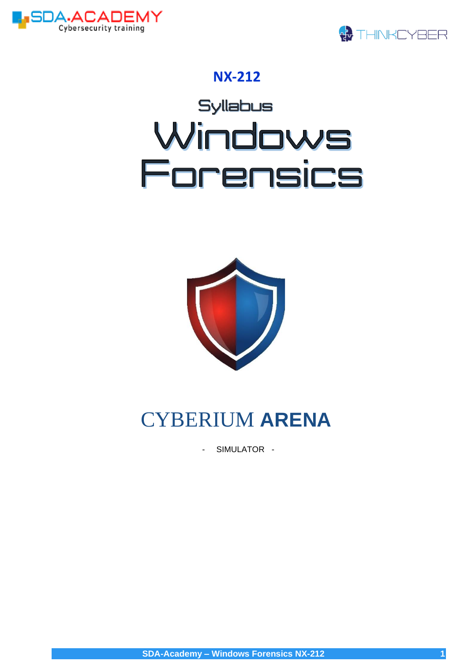



# **NX-212**





# **CYBERIUM ARENA**

 $\overline{a}$ SIMULATOR -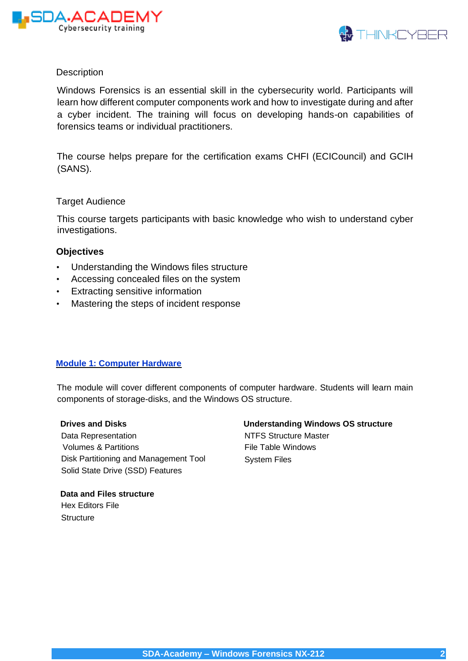



#### **Description**

Windows Forensics is an essential skill in the cybersecurity world. Participants will learn how different computer components work and how to investigate during and after a cyber incident. The training will focus on developing hands-on capabilities of forensics teams or individual practitioners.

The course helps prepare for the certification exams CHFI (ECICouncil) and GCIH (SANS).

#### Target Audience

This course targets participants with basic knowledge who wish to understand cyber investigations.

#### **Objectives**

- Understanding the Windows files structure
- Accessing concealed files on the system
- Extracting sensitive information
- Mastering the steps of incident response

#### **Module 1: Computer Hardware**

The module will cover different components of computer hardware. Students will learn main components of storage-disks, and the Windows OS structure.

#### **Drives and Disks**

Data Representation Volumes & Partitions Disk Partitioning and Management Tool Solid State Drive (SSD) Features

### **Understanding Windows OS structure**

NTFS Structure Master File Table Windows System Files

**Data and Files structure**  Hex Editors File **Structure**